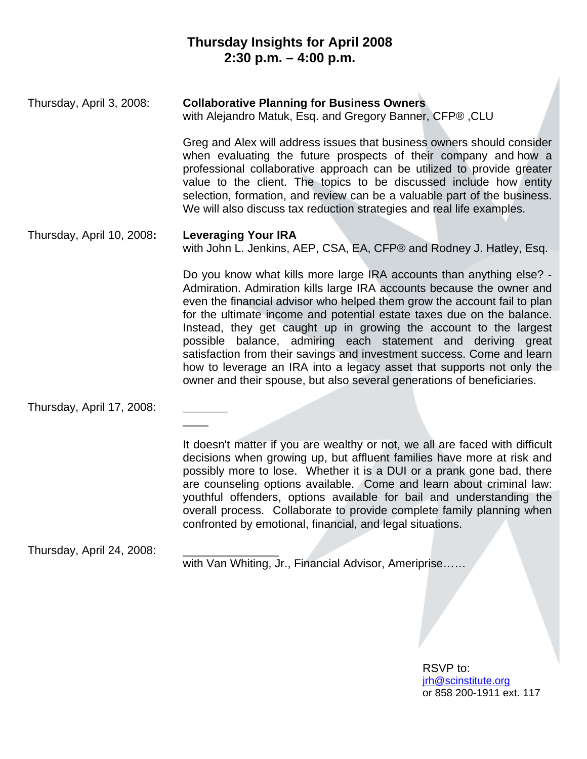## **Thursday Insights for April 2008 2:30 p.m. – 4:00 p.m.**

Thursday, April 3, 2008: **Collaborative Planning for Business Owners** with Alejandro Matuk, Esq. and Gregory Banner, CFP® ,CLU

> Greg and Alex will address issues that business owners should consider when evaluating the future prospects of their company and how a professional collaborative approach can be utilized to provide greater value to the client. The topics to be discussed include how entity selection, formation, and review can be a valuable part of the business. We will also discuss tax reduction strategies and real life examples.

#### Thursday, April 10, 2008**: Leveraging Your IRA**

 $\overline{\phantom{a}}$ 

with John L. Jenkins, AEP, CSA, EA, CFP® and Rodney J. Hatley, Esq.

Do you know what kills more large IRA accounts than anything else? - Admiration. Admiration kills large IRA accounts because the owner and even the financial advisor who helped them grow the account fail to plan for the ultimate income and potential estate taxes due on the balance. Instead, they get caught up in growing the account to the largest possible balance, admiring each statement and deriving great satisfaction from their savings and investment success. Come and learn how to leverage an IRA into a legacy asset that supports not only the owner and their spouse, but also several generations of beneficiaries.

Thursday, April 17, 2008: **\_\_\_\_\_\_\_**

It doesn't matter if you are wealthy or not, we all are faced with difficult decisions when growing up, but affluent families have more at risk and possibly more to lose. Whether it is a DUI or a prank gone bad, there are counseling options available. Come and learn about criminal law: youthful offenders, options available for bail and understanding the overall process. Collaborate to provide complete family planning when confronted by emotional, financial, and legal situations.

Thursday, April 24, 2008: \_\_\_\_\_\_\_\_\_\_\_\_\_\_\_

with Van Whiting, Jr., Financial Advisor, Ameriprise......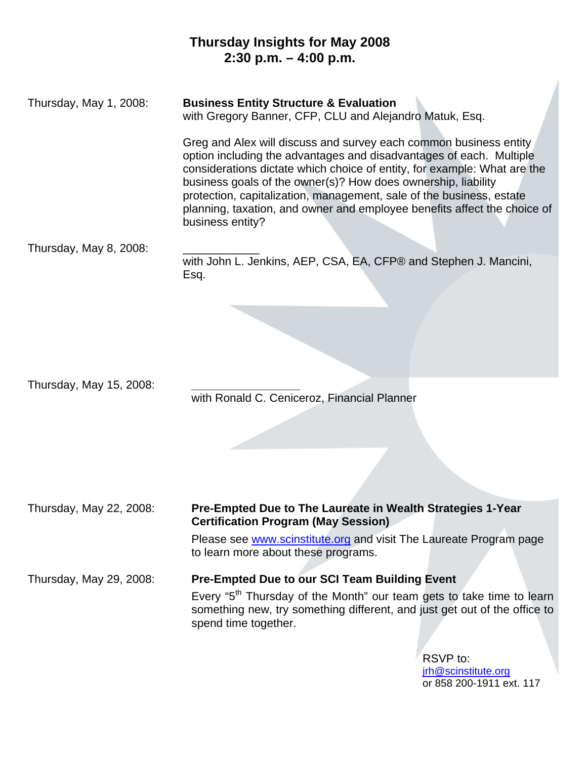## **Thursday Insights for May 2008 2:30 p.m. – 4:00 p.m.**

Thursday, May 1, 2008: **Business Entity Structure & Evaluation**  with Gregory Banner, CFP, CLU and Alejandro Matuk, Esq.

> Greg and Alex will discuss and survey each common business entity option including the advantages and disadvantages of each. Multiple considerations dictate which choice of entity, for example: What are the business goals of the owner(s)? How does ownership, liability protection, capitalization, management, sale of the business, estate planning, taxation, and owner and employee benefits affect the choice of business entity?

Thursday, May 8, 2008: \_\_\_\_\_\_\_\_\_\_\_\_

with John L. Jenkins, AEP, CSA, EA, CFP® and Stephen J. Mancini, Esq.

Thursday, May 15, 2008: **\_\_\_\_\_\_\_\_\_\_\_\_\_\_\_\_\_** 

with Ronald C. Ceniceroz, Financial Planner

#### Thursday, May 22, 2008: **Pre-Empted Due to The Laureate in Wealth Strategies 1-Year Certification Program (May Session)**

Please see www.scinstitute.org and visit The Laureate Program page to learn more about these programs.

Thursday, May 29, 2008: **Pre-Empted Due to our SCI Team Building Event** 

Every "5<sup>th</sup> Thursday of the Month" our team gets to take time to learn something new, try something different, and just get out of the office to spend time together.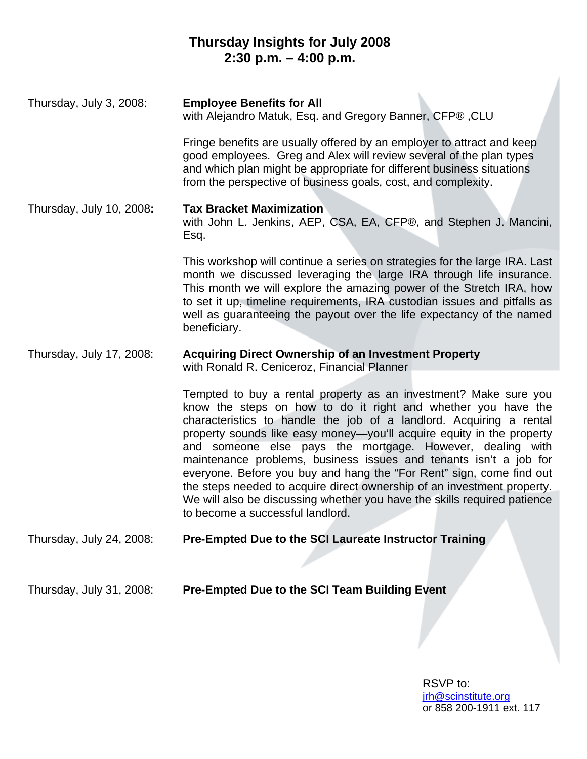# **Thursday Insights for July 2008 2:30 p.m. – 4:00 p.m.**

| Thursday, July 3, 2008:  | <b>Employee Benefits for All</b><br>with Alejandro Matuk, Esq. and Gregory Banner, CFP®, CLU                                                                                                                                                                                                                                                                                                                                                                                                                                                                                                                                                                                           |
|--------------------------|----------------------------------------------------------------------------------------------------------------------------------------------------------------------------------------------------------------------------------------------------------------------------------------------------------------------------------------------------------------------------------------------------------------------------------------------------------------------------------------------------------------------------------------------------------------------------------------------------------------------------------------------------------------------------------------|
|                          | Fringe benefits are usually offered by an employer to attract and keep<br>good employees. Greg and Alex will review several of the plan types<br>and which plan might be appropriate for different business situations<br>from the perspective of business goals, cost, and complexity.                                                                                                                                                                                                                                                                                                                                                                                                |
| Thursday, July 10, 2008: | <b>Tax Bracket Maximization</b><br>with John L. Jenkins, AEP, CSA, EA, CFP®, and Stephen J. Mancini,<br>Esq.                                                                                                                                                                                                                                                                                                                                                                                                                                                                                                                                                                           |
|                          | This workshop will continue a series on strategies for the large IRA. Last<br>month we discussed leveraging the large IRA through life insurance.<br>This month we will explore the amazing power of the Stretch IRA, how<br>to set it up, timeline requirements, IRA custodian issues and pitfalls as<br>well as guaranteeing the payout over the life expectancy of the named<br>beneficiary.                                                                                                                                                                                                                                                                                        |
| Thursday, July 17, 2008: | <b>Acquiring Direct Ownership of an Investment Property</b><br>with Ronald R. Ceniceroz, Financial Planner                                                                                                                                                                                                                                                                                                                                                                                                                                                                                                                                                                             |
|                          | Tempted to buy a rental property as an investment? Make sure you<br>know the steps on how to do it right and whether you have the<br>characteristics to handle the job of a landlord. Acquiring a rental<br>property sounds like easy money—you'll acquire equity in the property<br>and someone else pays the mortgage. However, dealing with<br>maintenance problems, business issues and tenants isn't a job for<br>everyone. Before you buy and hang the "For Rent" sign, come find out<br>the steps needed to acquire direct ownership of an investment property.<br>We will also be discussing whether you have the skills required patience<br>to become a successful landlord. |
| Thursday, July 24, 2008: | Pre-Empted Due to the SCI Laureate Instructor Training                                                                                                                                                                                                                                                                                                                                                                                                                                                                                                                                                                                                                                 |
| Thursday, July 31, 2008: | <b>Pre-Empted Due to the SCI Team Building Event</b>                                                                                                                                                                                                                                                                                                                                                                                                                                                                                                                                                                                                                                   |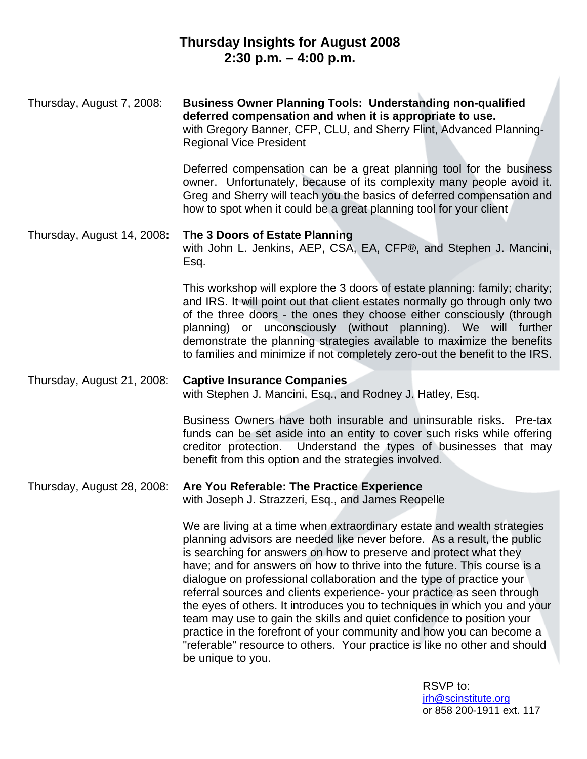## **Thursday Insights for August 2008 2:30 p.m. – 4:00 p.m.**

Thursday, August 7, 2008: **Business Owner Planning Tools: Understanding non-qualified deferred compensation and when it is appropriate to use.** with Gregory Banner, CFP, CLU, and Sherry Flint, Advanced Planning-Regional Vice President Deferred compensation can be a great planning tool for the business owner. Unfortunately, because of its complexity many people avoid it. Greg and Sherry will teach you the basics of deferred compensation and how to spot when it could be a great planning tool for your client Thursday, August 14, 2008**: The 3 Doors of Estate Planning**  with John L. Jenkins, AEP, CSA, EA, CFP®, and Stephen J. Mancini, Esq.

> This workshop will explore the 3 doors of estate planning: family; charity; and IRS. It will point out that client estates normally go through only two of the three doors - the ones they choose either consciously (through planning) or unconsciously (without planning). We will further demonstrate the planning strategies available to maximize the benefits to families and minimize if not completely zero-out the benefit to the IRS.

Thursday, August 21, 2008: **Captive Insurance Companies**  with Stephen J. Mancini, Esq., and Rodney J. Hatley, Esq.

> Business Owners have both insurable and uninsurable risks. Pre-tax funds can be set aside into an entity to cover such risks while offering creditor protection. Understand the types of businesses that may benefit from this option and the strategies involved.

Thursday, August 28, 2008: **Are You Referable: The Practice Experience** with Joseph J. Strazzeri, Esq., and James Reopelle

> We are living at a time when extraordinary estate and wealth strategies planning advisors are needed like never before. As a result, the public is searching for answers on how to preserve and protect what they have; and for answers on how to thrive into the future. This course is a dialogue on professional collaboration and the type of practice your referral sources and clients experience- your practice as seen through the eyes of others. It introduces you to techniques in which you and your team may use to gain the skills and quiet confidence to position your practice in the forefront of your community and how you can become a "referable" resource to others. Your practice is like no other and should be unique to you.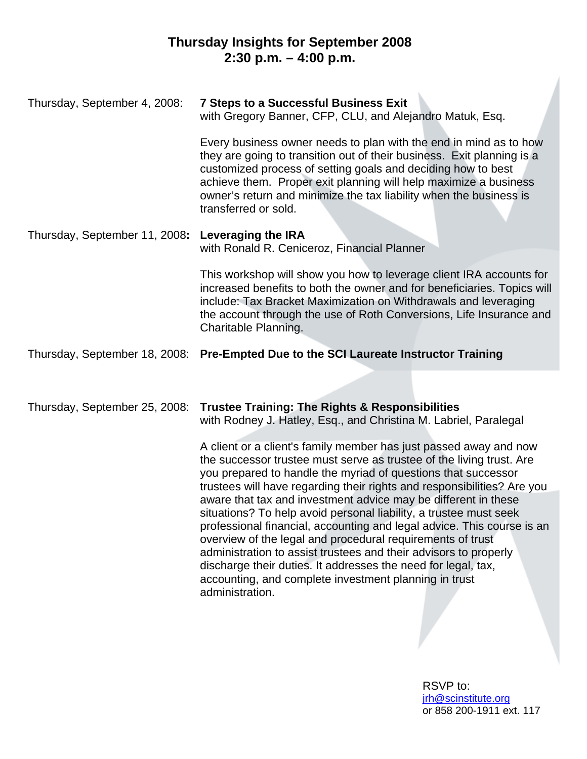# **Thursday Insights for September 2008 2:30 p.m. – 4:00 p.m.**

| Thursday, September 4, 2008:  | <b>7 Steps to a Successful Business Exit</b><br>with Gregory Banner, CFP, CLU, and Alejandro Matuk, Esq.<br>Every business owner needs to plan with the end in mind as to how<br>they are going to transition out of their business. Exit planning is a<br>customized process of setting goals and deciding how to best<br>achieve them. Proper exit planning will help maximize a business<br>owner's return and minimize the tax liability when the business is<br>transferred or sold.    |
|-------------------------------|----------------------------------------------------------------------------------------------------------------------------------------------------------------------------------------------------------------------------------------------------------------------------------------------------------------------------------------------------------------------------------------------------------------------------------------------------------------------------------------------|
| Thursday, September 11, 2008: | <b>Leveraging the IRA</b><br>with Ronald R. Ceniceroz, Financial Planner                                                                                                                                                                                                                                                                                                                                                                                                                     |
|                               | This workshop will show you how to leverage client IRA accounts for<br>increased benefits to both the owner and for beneficiaries. Topics will<br>include: Tax Bracket Maximization on Withdrawals and leveraging<br>the account through the use of Roth Conversions, Life Insurance and<br>Charitable Planning.                                                                                                                                                                             |
| Thursday, September 18, 2008: | Pre-Empted Due to the SCI Laureate Instructor Training                                                                                                                                                                                                                                                                                                                                                                                                                                       |
|                               |                                                                                                                                                                                                                                                                                                                                                                                                                                                                                              |
| Thursday, September 25, 2008: | <b>Trustee Training: The Rights &amp; Responsibilities</b><br>with Rodney J. Hatley, Esq., and Christina M. Labriel, Paralegal<br>A client or a client's family member has just passed away and now<br>the successor trustee must serve as trustee of the living trust. Are<br>you prepared to handle the myriad of questions that successor<br>trustees will have regarding their rights and responsibilities? Are you                                                                      |
|                               | aware that tax and investment advice may be different in these<br>situations? To help avoid personal liability, a trustee must seek<br>professional financial, accounting and legal advice. This course is an<br>overview of the legal and procedural requirements of trust<br>administration to assist trustees and their advisors to properly<br>discharge their duties. It addresses the need for legal, tax,<br>accounting, and complete investment planning in trust<br>administration. |